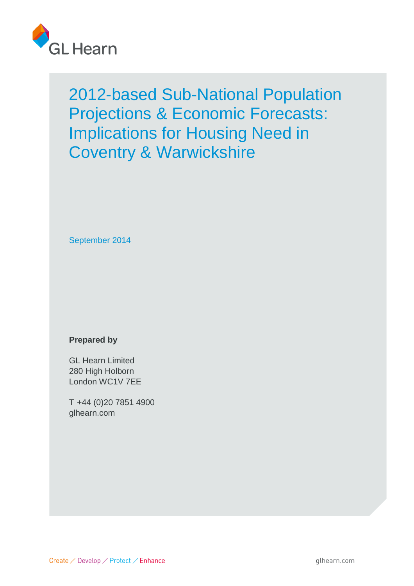

September 2014

# **Prepared by**

GL Hearn Limited 280 High Holborn London WC1V 7EE

T +44 (0)20 7851 4900 glhearn.com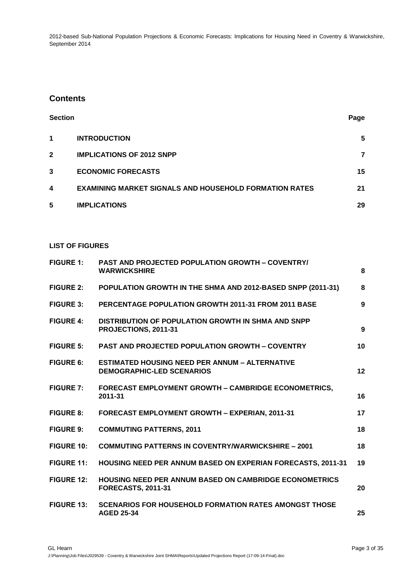# **Contents**

| <b>Section</b> |                                                               | Page |
|----------------|---------------------------------------------------------------|------|
| 1              | <b>INTRODUCTION</b>                                           | 5    |
| $\mathbf{2}$   | <b>IMPLICATIONS OF 2012 SNPP</b>                              | 7    |
| 3              | <b>ECONOMIC FORECASTS</b>                                     | 15   |
| 4              | <b>EXAMINING MARKET SIGNALS AND HOUSEHOLD FORMATION RATES</b> | 21   |
| 5              | <b>IMPLICATIONS</b>                                           | 29   |

### **LIST OF FIGURES**

| <b>FIGURE 1:</b>  | <b>PAST AND PROJECTED POPULATION GROWTH - COVENTRY/</b><br><b>WARWICKSHIRE</b>             | 8  |
|-------------------|--------------------------------------------------------------------------------------------|----|
| <b>FIGURE 2:</b>  | POPULATION GROWTH IN THE SHMA AND 2012-BASED SNPP (2011-31)                                | 8  |
| <b>FIGURE 3:</b>  | PERCENTAGE POPULATION GROWTH 2011-31 FROM 2011 BASE                                        | 9  |
| <b>FIGURE 4:</b>  | DISTRIBUTION OF POPULATION GROWTH IN SHMA AND SNPP<br>PROJECTIONS, 2011-31                 | 9  |
| <b>FIGURE 5:</b>  | <b>PAST AND PROJECTED POPULATION GROWTH - COVENTRY</b>                                     | 10 |
| <b>FIGURE 6:</b>  | <b>ESTIMATED HOUSING NEED PER ANNUM - ALTERNATIVE</b><br><b>DEMOGRAPHIC-LED SCENARIOS</b>  | 12 |
| <b>FIGURE 7:</b>  | <b>FORECAST EMPLOYMENT GROWTH - CAMBRIDGE ECONOMETRICS,</b><br>2011-31                     | 16 |
| <b>FIGURE 8:</b>  | FORECAST EMPLOYMENT GROWTH - EXPERIAN, 2011-31                                             | 17 |
| <b>FIGURE 9:</b>  | <b>COMMUTING PATTERNS, 2011</b>                                                            | 18 |
| <b>FIGURE 10:</b> | <b>COMMUTING PATTERNS IN COVENTRY/WARWICKSHIRE - 2001</b>                                  | 18 |
| <b>FIGURE 11:</b> | <b>HOUSING NEED PER ANNUM BASED ON EXPERIAN FORECASTS, 2011-31</b>                         | 19 |
| <b>FIGURE 12:</b> | <b>HOUSING NEED PER ANNUM BASED ON CAMBRIDGE ECONOMETRICS</b><br><b>FORECASTS, 2011-31</b> | 20 |
| <b>FIGURE 13:</b> | <b>SCENARIOS FOR HOUSEHOLD FORMATION RATES AMONGST THOSE</b><br><b>AGED 25-34</b>          | 25 |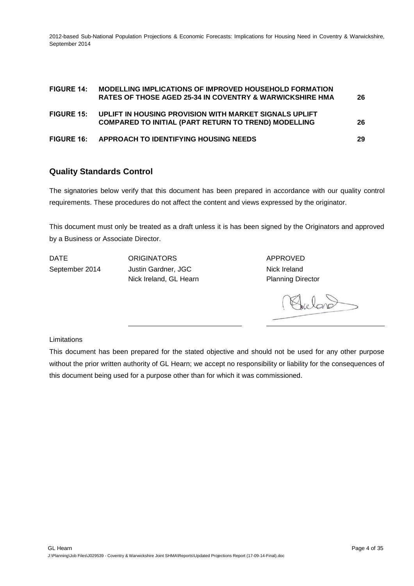| <b>FIGURE 14:</b> | MODELLING IMPLICATIONS OF IMPROVED HOUSEHOLD FORMATION<br><b>RATES OF THOSE AGED 25-34 IN COVENTRY &amp; WARWICKSHIRE HMA</b> | 26 |
|-------------------|-------------------------------------------------------------------------------------------------------------------------------|----|
| <b>FIGURE 15:</b> | UPLIFT IN HOUSING PROVISION WITH MARKET SIGNALS UPLIFT<br><b>COMPARED TO INITIAL (PART RETURN TO TREND) MODELLING</b>         | 26 |
| <b>FIGURE 16:</b> | APPROACH TO IDENTIFYING HOUSING NEEDS                                                                                         | 29 |

# **Quality Standards Control**

The signatories below verify that this document has been prepared in accordance with our quality control requirements. These procedures do not affect the content and views expressed by the originator.

This document must only be treated as a draft unless it is has been signed by the Originators and approved by a Business or Associate Director.

DATE ORIGINATORS APPROVED September 2014 Justin Gardner, JGC Nick Ireland, GL Hearn **Planning Director** 

Nick Ireland

Limitations

This document has been prepared for the stated objective and should not be used for any other purpose without the prior written authority of GL Hearn; we accept no responsibility or liability for the consequences of this document being used for a purpose other than for which it was commissioned.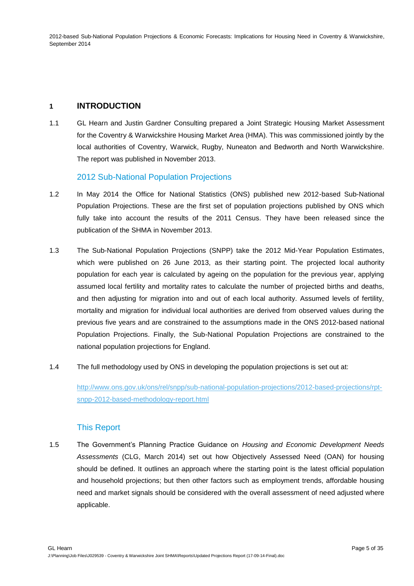## **1 INTRODUCTION**

1.1 GL Hearn and Justin Gardner Consulting prepared a Joint Strategic Housing Market Assessment for the Coventry & Warwickshire Housing Market Area (HMA). This was commissioned jointly by the local authorities of Coventry, Warwick, Rugby, Nuneaton and Bedworth and North Warwickshire. The report was published in November 2013.

### 2012 Sub-National Population Projections

- 1.2 In May 2014 the Office for National Statistics (ONS) published new 2012-based Sub-National Population Projections. These are the first set of population projections published by ONS which fully take into account the results of the 2011 Census. They have been released since the publication of the SHMA in November 2013.
- 1.3 The Sub-National Population Projections (SNPP) take the 2012 Mid-Year Population Estimates, which were published on 26 June 2013, as their starting point. The projected local authority population for each year is calculated by ageing on the population for the previous year, applying assumed local fertility and mortality rates to calculate the number of projected births and deaths, and then adjusting for migration into and out of each local authority. Assumed levels of fertility, mortality and migration for individual local authorities are derived from observed values during the previous five years and are constrained to the assumptions made in the ONS 2012-based national Population Projections. Finally, the Sub-National Population Projections are constrained to the national population projections for England.
- 1.4 The full methodology used by ONS in developing the population projections is set out at:

[http://www.ons.gov.uk/ons/rel/snpp/sub-national-population-projections/2012-based-projections/rpt](http://www.ons.gov.uk/ons/rel/snpp/sub-national-population-projections/2012-based-projections/rpt-snpp-2012-based-methodology-report.html)[snpp-2012-based-methodology-report.html](http://www.ons.gov.uk/ons/rel/snpp/sub-national-population-projections/2012-based-projections/rpt-snpp-2012-based-methodology-report.html)

## This Report

1.5 The Government's Planning Practice Guidance on *Housing and Economic Development Needs Assessments* (CLG, March 2014) set out how Objectively Assessed Need (OAN) for housing should be defined. It outlines an approach where the starting point is the latest official population and household projections; but then other factors such as employment trends, affordable housing need and market signals should be considered with the overall assessment of need adjusted where applicable.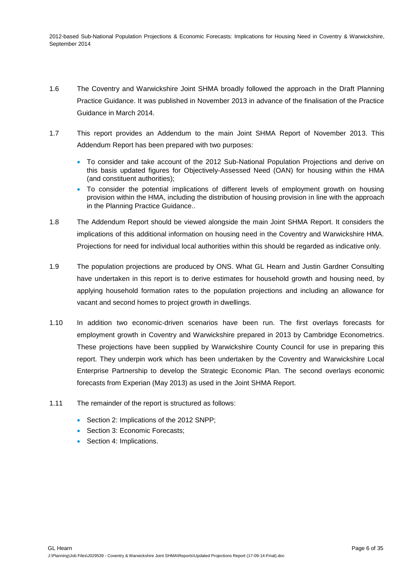- 1.6 The Coventry and Warwickshire Joint SHMA broadly followed the approach in the Draft Planning Practice Guidance. It was published in November 2013 in advance of the finalisation of the Practice Guidance in March 2014.
- 1.7 This report provides an Addendum to the main Joint SHMA Report of November 2013. This Addendum Report has been prepared with two purposes:
	- To consider and take account of the 2012 Sub-National Population Projections and derive on this basis updated figures for Objectively-Assessed Need (OAN) for housing within the HMA (and constituent authorities);
	- To consider the potential implications of different levels of employment growth on housing provision within the HMA, including the distribution of housing provision in line with the approach in the Planning Practice Guidance..
- 1.8 The Addendum Report should be viewed alongside the main Joint SHMA Report. It considers the implications of this additional information on housing need in the Coventry and Warwickshire HMA. Projections for need for individual local authorities within this should be regarded as indicative only.
- 1.9 The population projections are produced by ONS. What GL Hearn and Justin Gardner Consulting have undertaken in this report is to derive estimates for household growth and housing need, by applying household formation rates to the population projections and including an allowance for vacant and second homes to project growth in dwellings.
- 1.10 In addition two economic-driven scenarios have been run. The first overlays forecasts for employment growth in Coventry and Warwickshire prepared in 2013 by Cambridge Econometrics. These projections have been supplied by Warwickshire County Council for use in preparing this report. They underpin work which has been undertaken by the Coventry and Warwickshire Local Enterprise Partnership to develop the Strategic Economic Plan. The second overlays economic forecasts from Experian (May 2013) as used in the Joint SHMA Report.
- 1.11 The remainder of the report is structured as follows:
	- Section 2: Implications of the 2012 SNPP;
	- Section 3: Economic Forecasts;
	- Section 4: Implications.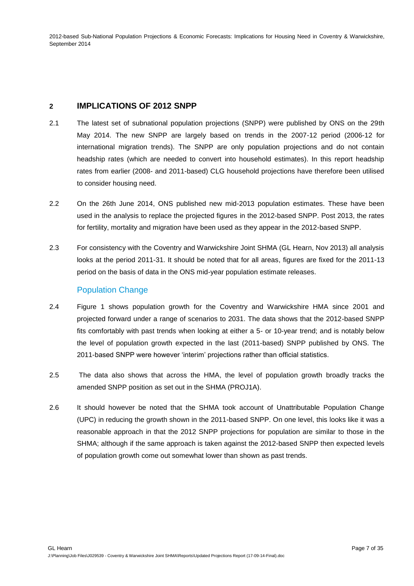## **2 IMPLICATIONS OF 2012 SNPP**

- 2.1 The latest set of subnational population projections (SNPP) were published by ONS on the 29th May 2014. The new SNPP are largely based on trends in the 2007-12 period (2006-12 for international migration trends). The SNPP are only population projections and do not contain headship rates (which are needed to convert into household estimates). In this report headship rates from earlier (2008- and 2011-based) CLG household projections have therefore been utilised to consider housing need.
- 2.2 On the 26th June 2014, ONS published new mid-2013 population estimates. These have been used in the analysis to replace the projected figures in the 2012-based SNPP. Post 2013, the rates for fertility, mortality and migration have been used as they appear in the 2012-based SNPP.
- 2.3 For consistency with the Coventry and Warwickshire Joint SHMA (GL Hearn, Nov 2013) all analysis looks at the period 2011-31. It should be noted that for all areas, figures are fixed for the 2011-13 period on the basis of data in the ONS mid-year population estimate releases.

## Population Change

- 2.4 Figure 1 shows population growth for the Coventry and Warwickshire HMA since 2001 and projected forward under a range of scenarios to 2031. The data shows that the 2012-based SNPP fits comfortably with past trends when looking at either a 5- or 10-year trend; and is notably below the level of population growth expected in the last (2011-based) SNPP published by ONS. The 2011-based SNPP were however 'interim' projections rather than official statistics.
- 2.5 The data also shows that across the HMA, the level of population growth broadly tracks the amended SNPP position as set out in the SHMA (PROJ1A).
- 2.6 It should however be noted that the SHMA took account of Unattributable Population Change (UPC) in reducing the growth shown in the 2011-based SNPP. On one level, this looks like it was a reasonable approach in that the 2012 SNPP projections for population are similar to those in the SHMA; although if the same approach is taken against the 2012-based SNPP then expected levels of population growth come out somewhat lower than shown as past trends.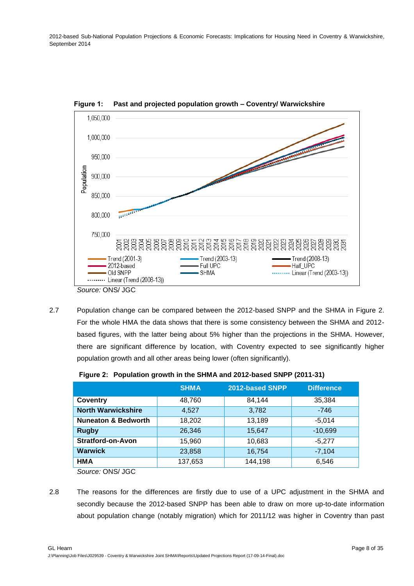

<span id="page-7-0"></span>**Figure 1: Past and projected population growth – Coventry/ Warwickshire**

2.7 Population change can be compared between the 2012-based SNPP and the SHMA in Figure 2. For the whole HMA the data shows that there is some consistency between the SHMA and 2012 based figures, with the latter being about 5% higher than the projections in the SHMA. However, there are significant difference by location, with Coventry expected to see significantly higher population growth and all other areas being lower (often significantly).

<span id="page-7-1"></span>

|                                | <b>SHMA</b> | 2012-based SNPP | <b>Difference</b> |
|--------------------------------|-------------|-----------------|-------------------|
| Coventry                       | 48,760      | 84,144          | 35,384            |
| <b>North Warwickshire</b>      | 4.527       | 3,782           | $-746$            |
| <b>Nuneaton &amp; Bedworth</b> | 18,202      | 13,189          | $-5,014$          |
| <b>Rugby</b>                   | 26,346      | 15,647          | $-10,699$         |
| Stratford-on-Avon              | 15.960      | 10,683          | $-5.277$          |
| <b>Warwick</b>                 | 23,858      | 16,754          | $-7,104$          |
| HMA                            | 137,653     | 144,198         | 6,546             |

**Figure 2: Population growth in the SHMA and 2012-based SNPP (2011-31)**

*Source:* ONS/ JGC

2.8 The reasons for the differences are firstly due to use of a UPC adjustment in the SHMA and secondly because the 2012-based SNPP has been able to draw on more up-to-date information about population change (notably migration) which for 2011/12 was higher in Coventry than past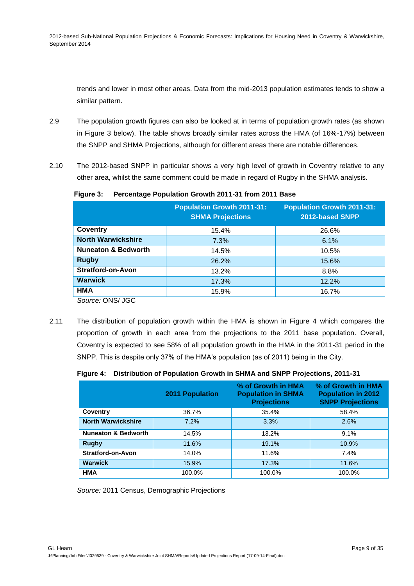trends and lower in most other areas. Data from the mid-2013 population estimates tends to show a similar pattern.

- 2.9 The population growth figures can also be looked at in terms of population growth rates (as shown in Figure 3 below). The table shows broadly similar rates across the HMA (of 16%-17%) between the SNPP and SHMA Projections, although for different areas there are notable differences.
- 2.10 The 2012-based SNPP in particular shows a very high level of growth in Coventry relative to any other area, whilst the same comment could be made in regard of Rugby in the SHMA analysis.

|                                | <b>Population Growth 2011-31:</b><br><b>SHMA Projections</b> | <b>Population Growth 2011-31:</b><br>2012-based SNPP |
|--------------------------------|--------------------------------------------------------------|------------------------------------------------------|
| <b>Coventry</b>                | 15.4%                                                        | 26.6%                                                |
| <b>North Warwickshire</b>      | 7.3%                                                         | 6.1%                                                 |
| <b>Nuneaton &amp; Bedworth</b> | 14.5%                                                        | 10.5%                                                |
| <b>Rugby</b>                   | 26.2%                                                        | 15.6%                                                |
| <b>Stratford-on-Avon</b>       | 13.2%                                                        | 8.8%                                                 |
| <b>Warwick</b>                 | 17.3%                                                        | 12.2%                                                |
| <b>HMA</b><br>$\sim$           | 15.9%                                                        | 16.7%                                                |

<span id="page-8-0"></span>**Figure 3: Percentage Population Growth 2011-31 from 2011 Base**

*Source:* ONS/ JGC

2.11 The distribution of population growth within the HMA is shown in Figure 4 which compares the proportion of growth in each area from the projections to the 2011 base population. Overall, Coventry is expected to see 58% of all population growth in the HMA in the 2011-31 period in the SNPP. This is despite only 37% of the HMA's population (as of 2011) being in the City.

<span id="page-8-1"></span>

|  | Figure 4: Distribution of Population Growth in SHMA and SNPP Projections, 2011-31 |  |  |  |  |  |  |
|--|-----------------------------------------------------------------------------------|--|--|--|--|--|--|
|--|-----------------------------------------------------------------------------------|--|--|--|--|--|--|

|                                | <b>2011 Population</b> | % of Growth in HMA<br><b>Population in SHMA</b><br><b>Projections</b> | % of Growth in HMA<br><b>Population in 2012</b><br><b>SNPP Projections</b> |
|--------------------------------|------------------------|-----------------------------------------------------------------------|----------------------------------------------------------------------------|
| Coventry                       | 36.7%                  | 35.4%                                                                 | 58.4%                                                                      |
| <b>North Warwickshire</b>      | 7.2%                   | 3.3%                                                                  | 2.6%                                                                       |
| <b>Nuneaton &amp; Bedworth</b> | 14.5%                  | 13.2%                                                                 | 9.1%                                                                       |
| <b>Rugby</b>                   | 11.6%                  | 19.1%                                                                 | 10.9%                                                                      |
| Stratford-on-Avon              | 14.0%                  | 11.6%                                                                 | $7.4\%$                                                                    |
| <b>Warwick</b>                 | 15.9%                  | 17.3%                                                                 | 11.6%                                                                      |
| <b>HMA</b>                     | 100.0%                 | 100.0%                                                                | 100.0%                                                                     |

*Source:* 2011 Census, Demographic Projections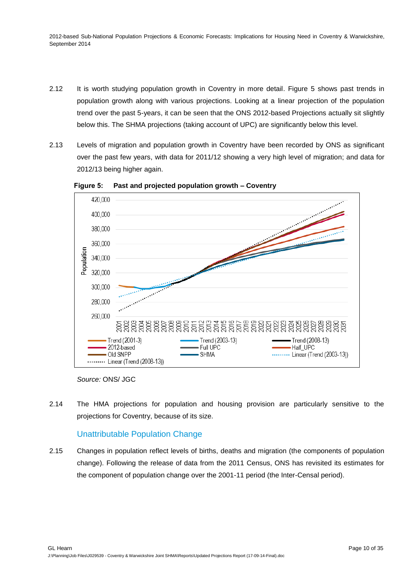- 2.12 It is worth studying population growth in Coventry in more detail. Figure 5 shows past trends in population growth along with various projections. Looking at a linear projection of the population trend over the past 5-years, it can be seen that the ONS 2012-based Projections actually sit slightly below this. The SHMA projections (taking account of UPC) are significantly below this level.
- 2.13 Levels of migration and population growth in Coventry have been recorded by ONS as significant over the past few years, with data for 2011/12 showing a very high level of migration; and data for 2012/13 being higher again.



<span id="page-9-0"></span>**Figure 5: Past and projected population growth – Coventry**

2.14 The HMA projections for population and housing provision are particularly sensitive to the projections for Coventry, because of its size.

# Unattributable Population Change

2.15 Changes in population reflect levels of births, deaths and migration (the components of population change). Following the release of data from the 2011 Census, ONS has revisited its estimates for the component of population change over the 2001-11 period (the Inter-Censal period).

*Source:* ONS/ JGC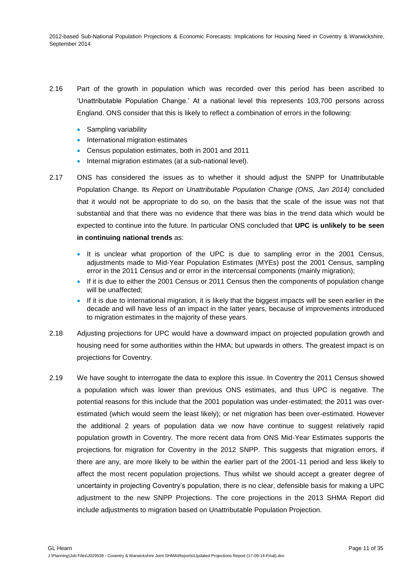- 2.16 Part of the growth in population which was recorded over this period has been ascribed to 'Unattributable Population Change.' At a national level this represents 103,700 persons across England. ONS consider that this is likely to reflect a combination of errors in the following:
	- Sampling variability
	- International migration estimates
	- Census population estimates, both in 2001 and 2011
	- Internal migration estimates (at a sub-national level).
- 2.17 ONS has considered the issues as to whether it should adjust the SNPP for Unattributable Population Change. Its *Report on Unattributable Population Change (ONS, Jan 2014)* concluded that it would not be appropriate to do so, on the basis that the scale of the issue was not that substantial and that there was no evidence that there was bias in the trend data which would be expected to continue into the future. In particular ONS concluded that **UPC is unlikely to be seen in continuing national trends** as:
	- It is unclear what proportion of the UPC is due to sampling error in the 2001 Census, adjustments made to Mid-Year Population Estimates (MYEs) post the 2001 Census, sampling error in the 2011 Census and or error in the intercensal components (mainly migration);
	- If it is due to either the 2001 Census or 2011 Census then the components of population change will be unaffected;
	- If it is due to international migration, it is likely that the biggest impacts will be seen earlier in the decade and will have less of an impact in the latter years, because of improvements introduced to migration estimates in the majority of these years.
- 2.18 Adjusting projections for UPC would have a downward impact on projected population growth and housing need for some authorities within the HMA; but upwards in others. The greatest impact is on projections for Coventry.
- 2.19 We have sought to interrogate the data to explore this issue. In Coventry the 2011 Census showed a population which was lower than previous ONS estimates, and thus UPC is negative. The potential reasons for this include that the 2001 population was under-estimated; the 2011 was overestimated (which would seem the least likely); or net migration has been over-estimated. However the additional 2 years of population data we now have continue to suggest relatively rapid population growth in Coventry. The more recent data from ONS Mid-Year Estimates supports the projections for migration for Coventry in the 2012 SNPP. This suggests that migration errors, if there are any, are more likely to be within the earlier part of the 2001-11 period and less likely to affect the most recent population projections. Thus whilst we should accept a greater degree of uncertainty in projecting Coventry's population, there is no clear, defensible basis for making a UPC adjustment to the new SNPP Projections. The core projections in the 2013 SHMA Report did include adjustments to migration based on Unattributable Population Projection.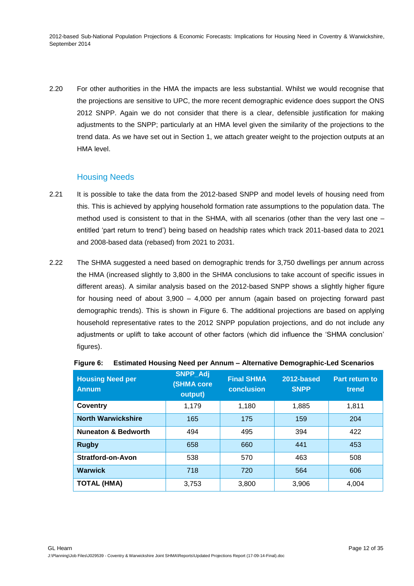2.20 For other authorities in the HMA the impacts are less substantial. Whilst we would recognise that the projections are sensitive to UPC, the more recent demographic evidence does support the ONS 2012 SNPP. Again we do not consider that there is a clear, defensible justification for making adjustments to the SNPP; particularly at an HMA level given the similarity of the projections to the trend data. As we have set out in Section 1, we attach greater weight to the projection outputs at an HMA level.

## Housing Needs

- 2.21 It is possible to take the data from the 2012-based SNPP and model levels of housing need from this. This is achieved by applying household formation rate assumptions to the population data. The method used is consistent to that in the SHMA, with all scenarios (other than the very last one – entitled 'part return to trend') being based on headship rates which track 2011-based data to 2021 and 2008-based data (rebased) from 2021 to 2031.
- 2.22 The SHMA suggested a need based on demographic trends for 3,750 dwellings per annum across the HMA (increased slightly to 3,800 in the SHMA conclusions to take account of specific issues in different areas). A similar analysis based on the 2012-based SNPP shows a slightly higher figure for housing need of about 3,900 – 4,000 per annum (again based on projecting forward past demographic trends). This is shown in Figure 6. The additional projections are based on applying household representative rates to the 2012 SNPP population projections, and do not include any adjustments or uplift to take account of other factors (which did influence the 'SHMA conclusion' figures).

| <b>Housing Need per</b><br><b>Annum</b> | SNPP_Adj<br><b>(SHMA core</b><br>output) | <b>Final SHMA</b><br><b>conclusion</b> | 2012-based<br><b>SNPP</b> | Part return to<br>trend |
|-----------------------------------------|------------------------------------------|----------------------------------------|---------------------------|-------------------------|
| Coventry                                | 1.179                                    | 1,180                                  | 1,885                     | 1,811                   |
| <b>North Warwickshire</b>               | 165                                      | 175                                    | 159                       | 204                     |
| <b>Nuneaton &amp; Bedworth</b>          | 494                                      | 495                                    | 394                       | 422                     |
| <b>Rugby</b>                            | 658                                      | 660                                    | 441                       | 453                     |
| <b>Stratford-on-Avon</b>                | 538                                      | 570                                    | 463                       | 508                     |
| <b>Warwick</b>                          | 718                                      | 720                                    | 564                       | 606                     |
| <b>TOTAL (HMA)</b>                      | 3,753                                    | 3,800                                  | 3,906                     | 4,004                   |

### <span id="page-11-0"></span>**Figure 6: Estimated Housing Need per Annum – Alternative Demographic-Led Scenarios**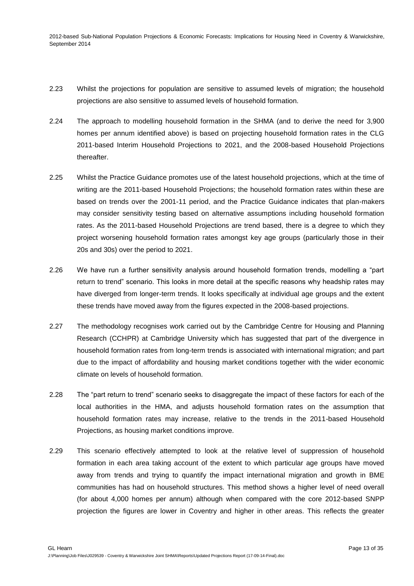- 2.23 Whilst the projections for population are sensitive to assumed levels of migration; the household projections are also sensitive to assumed levels of household formation.
- 2.24 The approach to modelling household formation in the SHMA (and to derive the need for 3,900 homes per annum identified above) is based on projecting household formation rates in the CLG 2011-based Interim Household Projections to 2021, and the 2008-based Household Projections thereafter.
- 2.25 Whilst the Practice Guidance promotes use of the latest household projections, which at the time of writing are the 2011-based Household Projections; the household formation rates within these are based on trends over the 2001-11 period, and the Practice Guidance indicates that plan-makers may consider sensitivity testing based on alternative assumptions including household formation rates. As the 2011-based Household Projections are trend based, there is a degree to which they project worsening household formation rates amongst key age groups (particularly those in their 20s and 30s) over the period to 2021.
- 2.26 We have run a further sensitivity analysis around household formation trends, modelling a "part return to trend" scenario. This looks in more detail at the specific reasons why headship rates may have diverged from longer-term trends. It looks specifically at individual age groups and the extent these trends have moved away from the figures expected in the 2008-based projections.
- 2.27 The methodology recognises work carried out by the Cambridge Centre for Housing and Planning Research (CCHPR) at Cambridge University which has suggested that part of the divergence in household formation rates from long-term trends is associated with international migration; and part due to the impact of affordability and housing market conditions together with the wider economic climate on levels of household formation.
- 2.28 The "part return to trend" scenario seeks to disaggregate the impact of these factors for each of the local authorities in the HMA, and adjusts household formation rates on the assumption that household formation rates may increase, relative to the trends in the 2011-based Household Projections, as housing market conditions improve.
- 2.29 This scenario effectively attempted to look at the relative level of suppression of household formation in each area taking account of the extent to which particular age groups have moved away from trends and trying to quantify the impact international migration and growth in BME communities has had on household structures. This method shows a higher level of need overall (for about 4,000 homes per annum) although when compared with the core 2012-based SNPP projection the figures are lower in Coventry and higher in other areas. This reflects the greater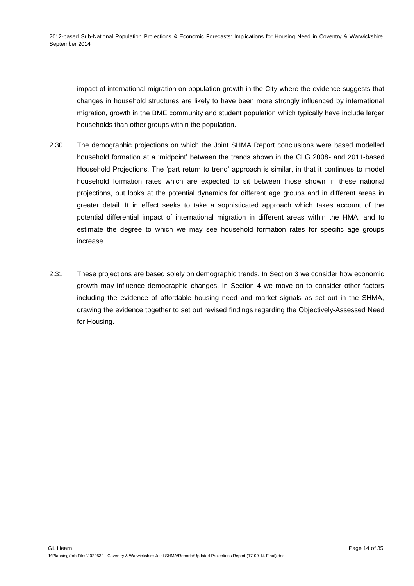impact of international migration on population growth in the City where the evidence suggests that changes in household structures are likely to have been more strongly influenced by international migration, growth in the BME community and student population which typically have include larger households than other groups within the population.

- 2.30 The demographic projections on which the Joint SHMA Report conclusions were based modelled household formation at a 'midpoint' between the trends shown in the CLG 2008- and 2011-based Household Projections. The 'part return to trend' approach is similar, in that it continues to model household formation rates which are expected to sit between those shown in these national projections, but looks at the potential dynamics for different age groups and in different areas in greater detail. It in effect seeks to take a sophisticated approach which takes account of the potential differential impact of international migration in different areas within the HMA, and to estimate the degree to which we may see household formation rates for specific age groups increase.
- 2.31 These projections are based solely on demographic trends. In Section 3 we consider how economic growth may influence demographic changes. In Section 4 we move on to consider other factors including the evidence of affordable housing need and market signals as set out in the SHMA, drawing the evidence together to set out revised findings regarding the Objectively-Assessed Need for Housing.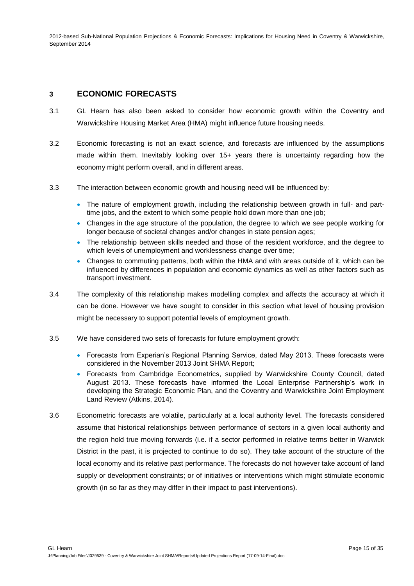## **3 ECONOMIC FORECASTS**

- 3.1 GL Hearn has also been asked to consider how economic growth within the Coventry and Warwickshire Housing Market Area (HMA) might influence future housing needs.
- 3.2 Economic forecasting is not an exact science, and forecasts are influenced by the assumptions made within them. Inevitably looking over 15+ years there is uncertainty regarding how the economy might perform overall, and in different areas.
- 3.3 The interaction between economic growth and housing need will be influenced by:
	- The nature of employment growth, including the relationship between growth in full- and parttime jobs, and the extent to which some people hold down more than one job;
	- Changes in the age structure of the population, the degree to which we see people working for longer because of societal changes and/or changes in state pension ages;
	- The relationship between skills needed and those of the resident workforce, and the degree to which levels of unemployment and worklessness change over time;
	- Changes to commuting patterns, both within the HMA and with areas outside of it, which can be influenced by differences in population and economic dynamics as well as other factors such as transport investment.
- 3.4 The complexity of this relationship makes modelling complex and affects the accuracy at which it can be done. However we have sought to consider in this section what level of housing provision might be necessary to support potential levels of employment growth.
- 3.5 We have considered two sets of forecasts for future employment growth:
	- Forecasts from Experian's Regional Planning Service, dated May 2013. These forecasts were considered in the November 2013 Joint SHMA Report;
	- Forecasts from Cambridge Econometrics, supplied by Warwickshire County Council, dated August 2013. These forecasts have informed the Local Enterprise Partnership's work in developing the Strategic Economic Plan, and the Coventry and Warwickshire Joint Employment Land Review (Atkins, 2014).
- 3.6 Econometric forecasts are volatile, particularly at a local authority level. The forecasts considered assume that historical relationships between performance of sectors in a given local authority and the region hold true moving forwards (i.e. if a sector performed in relative terms better in Warwick District in the past, it is projected to continue to do so). They take account of the structure of the local economy and its relative past performance. The forecasts do not however take account of land supply or development constraints; or of initiatives or interventions which might stimulate economic growth (in so far as they may differ in their impact to past interventions).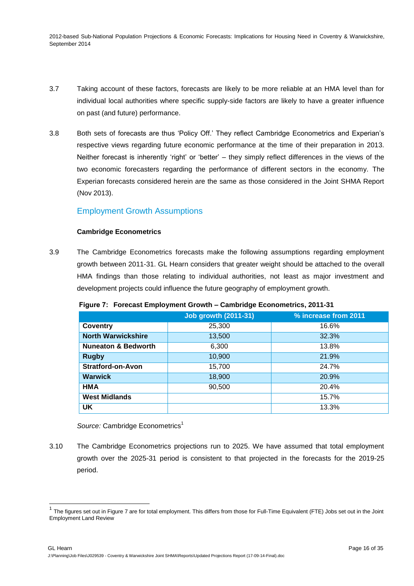- 3.7 Taking account of these factors, forecasts are likely to be more reliable at an HMA level than for individual local authorities where specific supply-side factors are likely to have a greater influence on past (and future) performance.
- 3.8 Both sets of forecasts are thus 'Policy Off.' They reflect Cambridge Econometrics and Experian's respective views regarding future economic performance at the time of their preparation in 2013. Neither forecast is inherently 'right' or 'better' – they simply reflect differences in the views of the two economic forecasters regarding the performance of different sectors in the economy. The Experian forecasts considered herein are the same as those considered in the Joint SHMA Report (Nov 2013).

### Employment Growth Assumptions

#### **Cambridge Econometrics**

3.9 The Cambridge Econometrics forecasts make the following assumptions regarding employment growth between 2011-31. GL Hearn considers that greater weight should be attached to the overall HMA findings than those relating to individual authorities, not least as major investment and development projects could influence the future geography of employment growth.

|                                | <b>Job growth (2011-31)</b> | % increase from 2011 |
|--------------------------------|-----------------------------|----------------------|
| <b>Coventry</b>                | 25,300                      | 16.6%                |
| <b>North Warwickshire</b>      | 13,500                      | 32.3%                |
| <b>Nuneaton &amp; Bedworth</b> | 6,300                       | 13.8%                |
| <b>Rugby</b>                   | 10,900                      | 21.9%                |
| <b>Stratford-on-Avon</b>       | 15,700                      | 24.7%                |
| <b>Warwick</b>                 | 18,900                      | 20.9%                |
| HMA                            | 90,500                      | 20.4%                |
| <b>West Midlands</b>           |                             | 15.7%                |
| UK.                            |                             | 13.3%                |

<span id="page-15-0"></span>**Figure 7: Forecast Employment Growth – Cambridge Econometrics, 2011-31** 

Source: Cambridge Econometrics<sup>1</sup>

3.10 The Cambridge Econometrics projections run to 2025. We have assumed that total employment growth over the 2025-31 period is consistent to that projected in the forecasts for the 2019-25 period.

 1 The figures set out in Figure 7 are for total employment. This differs from those for Full-Time Equivalent (FTE) Jobs set out in the Joint Employment Land Review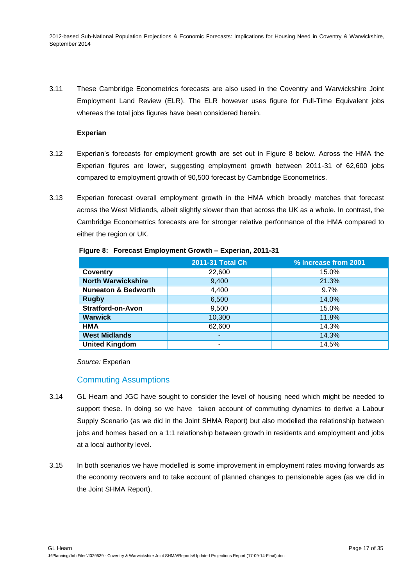3.11 These Cambridge Econometrics forecasts are also used in the Coventry and Warwickshire Joint Employment Land Review (ELR). The ELR however uses figure for Full-Time Equivalent jobs whereas the total jobs figures have been considered herein.

### **Experian**

- 3.12 Experian's forecasts for employment growth are set out in Figure 8 below. Across the HMA the Experian figures are lower, suggesting employment growth between 2011-31 of 62,600 jobs compared to employment growth of 90,500 forecast by Cambridge Econometrics.
- 3.13 Experian forecast overall employment growth in the HMA which broadly matches that forecast across the West Midlands, albeit slightly slower than that across the UK as a whole. In contrast, the Cambridge Econometrics forecasts are for stronger relative performance of the HMA compared to either the region or UK.

|                                | 2011-31 Total Ch | % Increase from 2001 |
|--------------------------------|------------------|----------------------|
| Coventry                       | 22,600           | 15.0%                |
| <b>North Warwickshire</b>      | 9,400            | 21.3%                |
| <b>Nuneaton &amp; Bedworth</b> | 4,400            | $9.7\%$              |
| <b>Rugby</b>                   | 6,500            | 14.0%                |
| <b>Stratford-on-Avon</b>       | 9,500            | 15.0%                |
| <b>Warwick</b>                 | 10,300           | 11.8%                |
| <b>HMA</b>                     | 62,600           | 14.3%                |
| <b>West Midlands</b>           | ٠                | 14.3%                |
| <b>United Kingdom</b>          | -                | 14.5%                |

#### <span id="page-16-0"></span>**Figure 8: Forecast Employment Growth – Experian, 2011-31**

*Source:* Experian

### Commuting Assumptions

- 3.14 GL Hearn and JGC have sought to consider the level of housing need which might be needed to support these. In doing so we have taken account of commuting dynamics to derive a Labour Supply Scenario (as we did in the Joint SHMA Report) but also modelled the relationship between jobs and homes based on a 1:1 relationship between growth in residents and employment and jobs at a local authority level.
- 3.15 In both scenarios we have modelled is some improvement in employment rates moving forwards as the economy recovers and to take account of planned changes to pensionable ages (as we did in the Joint SHMA Report).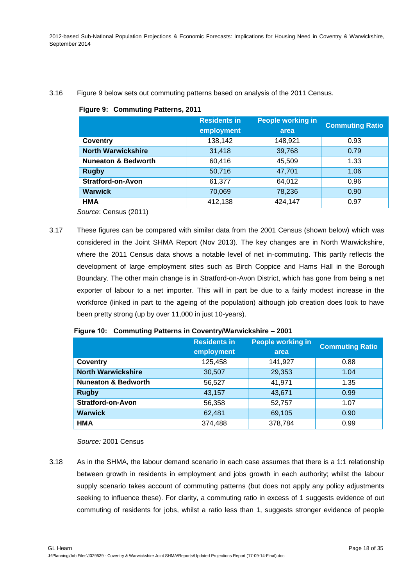#### <span id="page-17-0"></span>3.16 Figure 9 below sets out commuting patterns based on analysis of the 2011 Census.

|  |  | Figure 9: Commuting Patterns, 2011 |
|--|--|------------------------------------|
|--|--|------------------------------------|

|                                | <b>Residents in</b><br>employment | <b>People working in</b><br>area | <b>Commuting Ratio</b> |
|--------------------------------|-----------------------------------|----------------------------------|------------------------|
| <b>Coventry</b>                | 138,142                           | 148,921                          | 0.93                   |
| <b>North Warwickshire</b>      | 31,418                            | 39,768                           | 0.79                   |
| <b>Nuneaton &amp; Bedworth</b> | 60,416                            | 45,509                           | 1.33                   |
| <b>Rugby</b>                   | 50,716                            | 47,701                           | 1.06                   |
| <b>Stratford-on-Avon</b>       | 61,377                            | 64,012                           | 0.96                   |
| <b>Warwick</b>                 | 70,069                            | 78,236                           | 0.90                   |
| <b>HMA</b>                     | 412,138                           | 424,147                          | 0.97                   |

*Source*: Census (2011)

3.17 These figures can be compared with similar data from the 2001 Census (shown below) which was considered in the Joint SHMA Report (Nov 2013). The key changes are in North Warwickshire, where the 2011 Census data shows a notable level of net in-commuting. This partly reflects the development of large employment sites such as Birch Coppice and Hams Hall in the Borough Boundary. The other main change is in Stratford-on-Avon District, which has gone from being a net exporter of labour to a net importer. This will in part be due to a fairly modest increase in the workforce (linked in part to the ageing of the population) although job creation does look to have been pretty strong (up by over 11,000 in just 10-years).

|                                | <b>Residents in</b><br>employment | <b>People working in</b><br>area | <b>Commuting Ratio</b> |  |
|--------------------------------|-----------------------------------|----------------------------------|------------------------|--|
| <b>Coventry</b>                | 125,458                           | 141,927                          | 0.88                   |  |
| <b>North Warwickshire</b>      | 30,507                            | 29,353                           | 1.04                   |  |
| <b>Nuneaton &amp; Bedworth</b> | 56,527                            | 41,971                           | 1.35                   |  |
| <b>Rugby</b>                   | 43,157                            | 43,671                           | 0.99                   |  |
| <b>Stratford-on-Avon</b>       | 56,358                            | 52,757                           | 1.07                   |  |
| <b>Warwick</b>                 | 62,481                            | 69,105                           | 0.90                   |  |
| <b>HMA</b>                     | 374,488                           | 378,784                          | 0.99                   |  |

<span id="page-17-1"></span>**Figure 10: Commuting Patterns in Coventry/Warwickshire – 2001**

*Source:* 2001 Census

3.18 As in the SHMA, the labour demand scenario in each case assumes that there is a 1:1 relationship between growth in residents in employment and jobs growth in each authority; whilst the labour supply scenario takes account of commuting patterns (but does not apply any policy adjustments seeking to influence these). For clarity, a commuting ratio in excess of 1 suggests evidence of out commuting of residents for jobs, whilst a ratio less than 1, suggests stronger evidence of people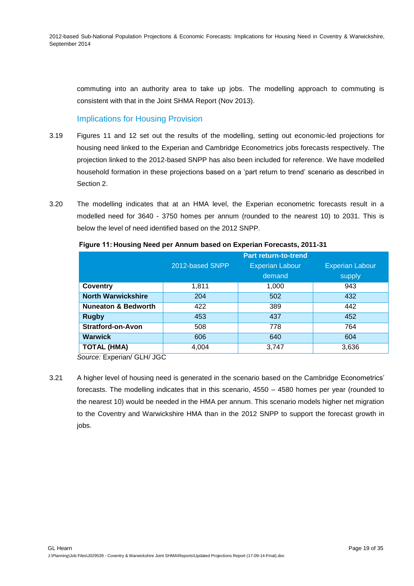commuting into an authority area to take up jobs. The modelling approach to commuting is consistent with that in the Joint SHMA Report (Nov 2013).

# Implications for Housing Provision

- 3.19 Figures 11 and 12 set out the results of the modelling, setting out economic-led projections for housing need linked to the Experian and Cambridge Econometrics jobs forecasts respectively. The projection linked to the 2012-based SNPP has also been included for reference. We have modelled household formation in these projections based on a 'part return to trend' scenario as described in Section 2.
- 3.20 The modelling indicates that at an HMA level, the Experian econometric forecasts result in a modelled need for 3640 - 3750 homes per annum (rounded to the nearest 10) to 2031. This is below the level of need identified based on the 2012 SNPP.

<span id="page-18-0"></span>

|                                | <b>Part return-to-trend</b> |                        |                        |  |  |  |  |
|--------------------------------|-----------------------------|------------------------|------------------------|--|--|--|--|
|                                | 2012-based SNPP             | <b>Experian Labour</b> | <b>Experian Labour</b> |  |  |  |  |
|                                |                             | demand                 | supply                 |  |  |  |  |
| <b>Coventry</b>                | 1,811                       | 1,000                  | 943                    |  |  |  |  |
| <b>North Warwickshire</b>      | 204                         | 502                    | 432                    |  |  |  |  |
| <b>Nuneaton &amp; Bedworth</b> | 422                         | 389                    | 442                    |  |  |  |  |
| <b>Rugby</b>                   | 453                         | 437                    | 452                    |  |  |  |  |
| <b>Stratford-on-Avon</b>       | 508                         | 778                    | 764                    |  |  |  |  |
| <b>Warwick</b>                 | 606                         | 640                    | 604                    |  |  |  |  |
| <b>TOTAL (HMA)</b>             | 4,004                       | 3,747                  | 3,636                  |  |  |  |  |

#### **Figure 11: Housing Need per Annum based on Experian Forecasts, 2011-31**

*Source:* Experian/ GLH/ JGC

3.21 A higher level of housing need is generated in the scenario based on the Cambridge Econometrics' forecasts. The modelling indicates that in this scenario, 4550 – 4580 homes per year (rounded to the nearest 10) would be needed in the HMA per annum. This scenario models higher net migration to the Coventry and Warwickshire HMA than in the 2012 SNPP to support the forecast growth in jobs.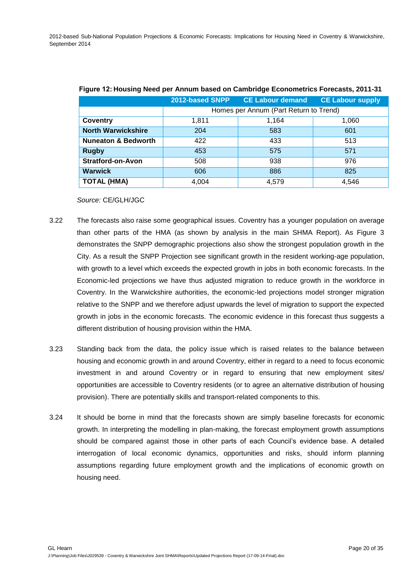<span id="page-19-0"></span>

| <u>r iyarda izi ndading nood por Alinani badda on dambridgo Eddhomothor i ordadidi, zu radi</u> |                 |                                        |                         |  |  |  |  |  |  |
|-------------------------------------------------------------------------------------------------|-----------------|----------------------------------------|-------------------------|--|--|--|--|--|--|
|                                                                                                 | 2012-based SNPP | <b>CE Labour demand</b>                | <b>CE Labour supply</b> |  |  |  |  |  |  |
|                                                                                                 |                 | Homes per Annum (Part Return to Trend) |                         |  |  |  |  |  |  |
| Coventry                                                                                        | 1,811           | 1,164                                  | 1,060                   |  |  |  |  |  |  |
| <b>North Warwickshire</b>                                                                       | 204             | 583                                    | 601                     |  |  |  |  |  |  |
| <b>Nuneaton &amp; Bedworth</b>                                                                  | 422             | 433                                    | 513                     |  |  |  |  |  |  |
| <b>Rugby</b>                                                                                    | 453             | 575                                    | 571                     |  |  |  |  |  |  |
| <b>Stratford-on-Avon</b>                                                                        | 508             | 938                                    | 976                     |  |  |  |  |  |  |
| <b>Warwick</b>                                                                                  | 606             | 886                                    | 825                     |  |  |  |  |  |  |
| <b>TOTAL (HMA)</b>                                                                              | 4.004           | 4,579                                  | 4,546                   |  |  |  |  |  |  |

|  |  |  |  | Figure 12: Housing Need per Annum based on Cambridge Econometrics Forecasts, 2011-31 |  |
|--|--|--|--|--------------------------------------------------------------------------------------|--|
|  |  |  |  |                                                                                      |  |

#### *Source:* CE/GLH/JGC

- 3.22 The forecasts also raise some geographical issues. Coventry has a younger population on average than other parts of the HMA (as shown by analysis in the main SHMA Report). As Figure 3 demonstrates the SNPP demographic projections also show the strongest population growth in the City. As a result the SNPP Projection see significant growth in the resident working-age population, with growth to a level which exceeds the expected growth in jobs in both economic forecasts. In the Economic-led projections we have thus adjusted migration to reduce growth in the workforce in Coventry. In the Warwickshire authorities, the economic-led projections model stronger migration relative to the SNPP and we therefore adjust upwards the level of migration to support the expected growth in jobs in the economic forecasts. The economic evidence in this forecast thus suggests a different distribution of housing provision within the HMA.
- 3.23 Standing back from the data, the policy issue which is raised relates to the balance between housing and economic growth in and around Coventry, either in regard to a need to focus economic investment in and around Coventry or in regard to ensuring that new employment sites/ opportunities are accessible to Coventry residents (or to agree an alternative distribution of housing provision). There are potentially skills and transport-related components to this.
- 3.24 It should be borne in mind that the forecasts shown are simply baseline forecasts for economic growth. In interpreting the modelling in plan-making, the forecast employment growth assumptions should be compared against those in other parts of each Council's evidence base. A detailed interrogation of local economic dynamics, opportunities and risks, should inform planning assumptions regarding future employment growth and the implications of economic growth on housing need.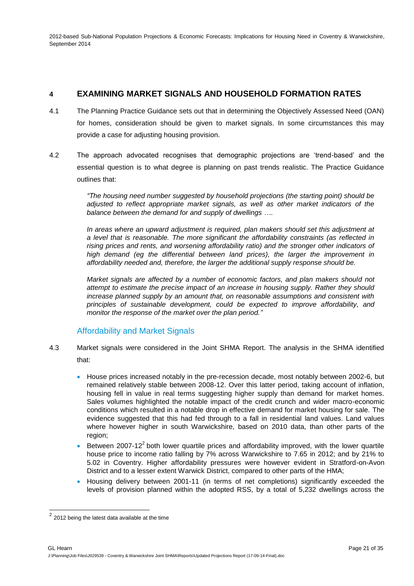# **4 EXAMINING MARKET SIGNALS AND HOUSEHOLD FORMATION RATES**

- 4.1 The Planning Practice Guidance sets out that in determining the Objectively Assessed Need (OAN) for homes, consideration should be given to market signals. In some circumstances this may provide a case for adjusting housing provision.
- 4.2 The approach advocated recognises that demographic projections are 'trend-based' and the essential question is to what degree is planning on past trends realistic. The Practice Guidance outlines that:

*"The housing need number suggested by household projections (the starting point) should be adjusted to reflect appropriate market signals, as well as other market indicators of the balance between the demand for and supply of dwellings ….*

*In areas where an upward adjustment is required, plan makers should set this adjustment at a level that is reasonable. The more significant the affordability constraints (as reflected in rising prices and rents, and worsening affordability ratio) and the stronger other indicators of*  high demand (eg the differential between land prices), the larger the improvement in *affordability needed and, therefore, the larger the additional supply response should be.*

*Market signals are affected by a number of economic factors, and plan makers should not attempt to estimate the precise impact of an increase in housing supply. Rather they should increase planned supply by an amount that, on reasonable assumptions and consistent with principles of sustainable development, could be expected to improve affordability, and monitor the response of the market over the plan period."*

## Affordability and Market Signals

- 4.3 Market signals were considered in the Joint SHMA Report. The analysis in the SHMA identified that:
	- House prices increased notably in the pre-recession decade, most notably between 2002-6, but remained relatively stable between 2008-12. Over this latter period, taking account of inflation, housing fell in value in real terms suggesting higher supply than demand for market homes. Sales volumes highlighted the notable impact of the credit crunch and wider macro-economic conditions which resulted in a notable drop in effective demand for market housing for sale. The evidence suggested that this had fed through to a fall in residential land values. Land values where however higher in south Warwickshire, based on 2010 data, than other parts of the region;
	- **Between 2007-12<sup>2</sup> both lower quartile prices and affordability improved, with the lower quartile** house price to income ratio falling by 7% across Warwickshire to 7.65 in 2012; and by 21% to 5.02 in Coventry. Higher affordability pressures were however evident in Stratford-on-Avon District and to a lesser extent Warwick District, compared to other parts of the HMA;
	- Housing delivery between 2001-11 (in terms of net completions) significantly exceeded the levels of provision planned within the adopted RSS, by a total of 5,232 dwellings across the

<sup>&</sup>lt;u>2</u><br>2 2012 being the latest data available at the time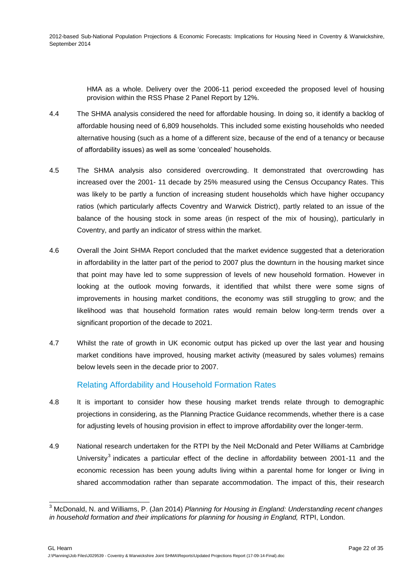> HMA as a whole. Delivery over the 2006-11 period exceeded the proposed level of housing provision within the RSS Phase 2 Panel Report by 12%.

- 4.4 The SHMA analysis considered the need for affordable housing. In doing so, it identify a backlog of affordable housing need of 6,809 households. This included some existing households who needed alternative housing (such as a home of a different size, because of the end of a tenancy or because of affordability issues) as well as some 'concealed' households.
- 4.5 The SHMA analysis also considered overcrowding. It demonstrated that overcrowding has increased over the 2001- 11 decade by 25% measured using the Census Occupancy Rates. This was likely to be partly a function of increasing student households which have higher occupancy ratios (which particularly affects Coventry and Warwick District), partly related to an issue of the balance of the housing stock in some areas (in respect of the mix of housing), particularly in Coventry, and partly an indicator of stress within the market.
- 4.6 Overall the Joint SHMA Report concluded that the market evidence suggested that a deterioration in affordability in the latter part of the period to 2007 plus the downturn in the housing market since that point may have led to some suppression of levels of new household formation. However in looking at the outlook moving forwards, it identified that whilst there were some signs of improvements in housing market conditions, the economy was still struggling to grow; and the likelihood was that household formation rates would remain below long-term trends over a significant proportion of the decade to 2021.
- 4.7 Whilst the rate of growth in UK economic output has picked up over the last year and housing market conditions have improved, housing market activity (measured by sales volumes) remains below levels seen in the decade prior to 2007.

## Relating Affordability and Household Formation Rates

- 4.8 It is important to consider how these housing market trends relate through to demographic projections in considering, as the Planning Practice Guidance recommends, whether there is a case for adjusting levels of housing provision in effect to improve affordability over the longer-term.
- 4.9 National research undertaken for the RTPI by the Neil McDonald and Peter Williams at Cambridge University<sup>3</sup> indicates a particular effect of the decline in affordability between 2001-11 and the economic recession has been young adults living within a parental home for longer or living in shared accommodation rather than separate accommodation. The impact of this, their research

 $\overline{\phantom{a}}$ 

<sup>3</sup> McDonald, N. and Williams, P. (Jan 2014) *Planning for Housing in England: Understanding recent changes in household formation and their implications for planning for housing in England, RTPI, London.*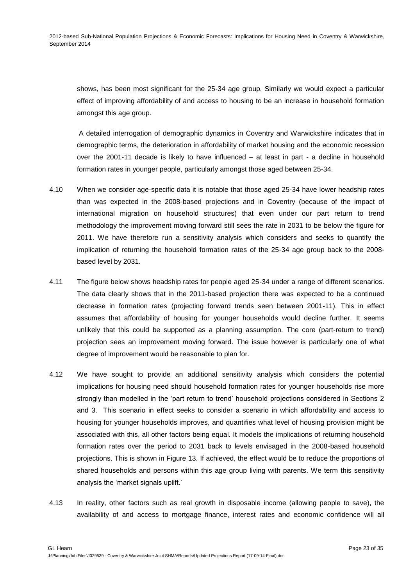shows, has been most significant for the 25-34 age group. Similarly we would expect a particular effect of improving affordability of and access to housing to be an increase in household formation amongst this age group.

A detailed interrogation of demographic dynamics in Coventry and Warwickshire indicates that in demographic terms, the deterioration in affordability of market housing and the economic recession over the 2001-11 decade is likely to have influenced – at least in part - a decline in household formation rates in younger people, particularly amongst those aged between 25-34.

- 4.10 When we consider age-specific data it is notable that those aged 25-34 have lower headship rates than was expected in the 2008-based projections and in Coventry (because of the impact of international migration on household structures) that even under our part return to trend methodology the improvement moving forward still sees the rate in 2031 to be below the figure for 2011. We have therefore run a sensitivity analysis which considers and seeks to quantify the implication of returning the household formation rates of the 25-34 age group back to the 2008 based level by 2031.
- 4.11 The figure below shows headship rates for people aged 25-34 under a range of different scenarios. The data clearly shows that in the 2011-based projection there was expected to be a continued decrease in formation rates (projecting forward trends seen between 2001-11). This in effect assumes that affordability of housing for younger households would decline further. It seems unlikely that this could be supported as a planning assumption. The core (part-return to trend) projection sees an improvement moving forward. The issue however is particularly one of what degree of improvement would be reasonable to plan for.
- 4.12 We have sought to provide an additional sensitivity analysis which considers the potential implications for housing need should household formation rates for younger households rise more strongly than modelled in the 'part return to trend' household projections considered in Sections 2 and 3. This scenario in effect seeks to consider a scenario in which affordability and access to housing for younger households improves, and quantifies what level of housing provision might be associated with this, all other factors being equal. It models the implications of returning household formation rates over the period to 2031 back to levels envisaged in the 2008-based household projections. This is shown in Figure 13. If achieved, the effect would be to reduce the proportions of shared households and persons within this age group living with parents. We term this sensitivity analysis the 'market signals uplift.'
- 4.13 In reality, other factors such as real growth in disposable income (allowing people to save), the availability of and access to mortgage finance, interest rates and economic confidence will all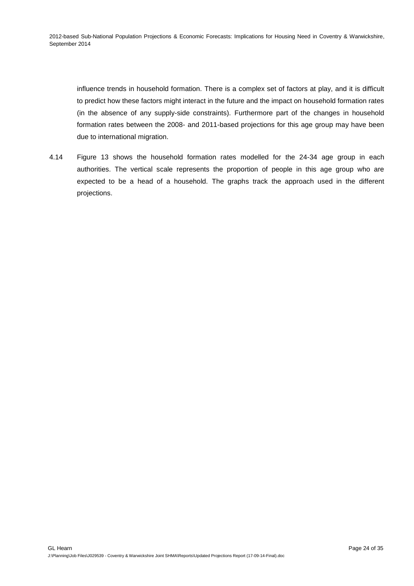influence trends in household formation. There is a complex set of factors at play, and it is difficult to predict how these factors might interact in the future and the impact on household formation rates (in the absence of any supply-side constraints). Furthermore part of the changes in household formation rates between the 2008- and 2011-based projections for this age group may have been due to international migration.

4.14 Figure 13 shows the household formation rates modelled for the 24-34 age group in each authorities. The vertical scale represents the proportion of people in this age group who are expected to be a head of a household. The graphs track the approach used in the different projections.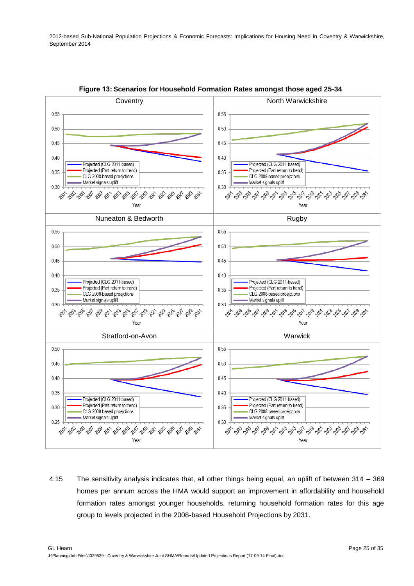<span id="page-24-0"></span>

**Figure 13: Scenarios for Household Formation Rates amongst those aged 25-34** 

4.15 The sensitivity analysis indicates that, all other things being equal, an uplift of between 314 – 369 homes per annum across the HMA would support an improvement in affordability and household formation rates amongst younger households, returning household formation rates for this age group to levels projected in the 2008-based Household Projections by 2031.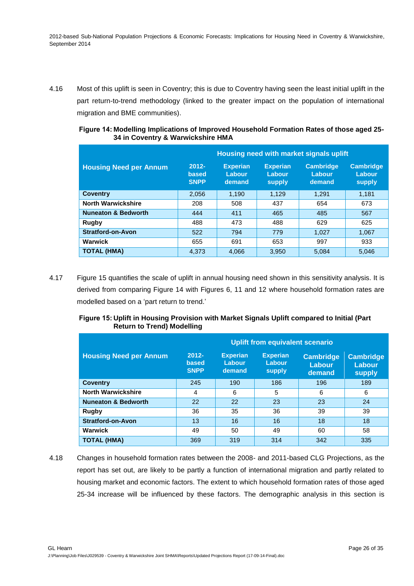4.16 Most of this uplift is seen in Coventry; this is due to Coventry having seen the least initial uplift in the part return-to-trend methodology (linked to the greater impact on the population of international migration and BME communities).

<span id="page-25-0"></span>

| Figure 14: Modelling Implications of Improved Household Formation Rates of those aged 25- |  |
|-------------------------------------------------------------------------------------------|--|
| 34 in Coventry & Warwickshire HMA                                                         |  |

|                                | Housing need with market signals uplift |                                     |                                     |                                      |                                      |  |
|--------------------------------|-----------------------------------------|-------------------------------------|-------------------------------------|--------------------------------------|--------------------------------------|--|
| <b>Housing Need per Annum</b>  | $2012 -$<br>based<br><b>SNPP</b>        | <b>Experian</b><br>Labour<br>demand | <b>Experian</b><br>Labour<br>supply | <b>Cambridge</b><br>Labour<br>demand | <b>Cambridge</b><br>Labour<br>supply |  |
| <b>Coventry</b>                | 2,056                                   | 1,190                               | 1,129                               | 1.291                                | 1,181                                |  |
| <b>North Warwickshire</b>      | 208                                     | 508                                 | 437                                 | 654                                  | 673                                  |  |
| <b>Nuneaton &amp; Bedworth</b> | 444                                     | 411                                 | 465                                 | 485                                  | 567                                  |  |
| Rugby                          | 488                                     | 473                                 | 488                                 | 629                                  | 625                                  |  |
| <b>Stratford-on-Avon</b>       | 522                                     | 794                                 | 779                                 | 1.027                                | 1,067                                |  |
| Warwick                        | 655                                     | 691                                 | 653                                 | 997                                  | 933                                  |  |
| <b>TOTAL (HMA)</b>             | 4.373                                   | 4.066                               | 3,950                               | 5.084                                | 5.046                                |  |

4.17 Figure 15 quantifies the scale of uplift in annual housing need shown in this sensitivity analysis. It is derived from comparing Figure 14 with Figures 6, 11 and 12 where household formation rates are modelled based on a 'part return to trend.'

### <span id="page-25-1"></span>**Figure 15: Uplift in Housing Provision with Market Signals Uplift compared to Initial (Part Return to Trend) Modelling**

|                                | <b>Uplift from equivalent scenario</b> |                                     |                                            |                                      |                                             |  |
|--------------------------------|----------------------------------------|-------------------------------------|--------------------------------------------|--------------------------------------|---------------------------------------------|--|
| <b>Housing Need per Annum</b>  | $2012 -$<br>based<br><b>SNPP</b>       | <b>Experian</b><br>Labour<br>demand | <b>Experian</b><br>Labour<br><b>supply</b> | <b>Cambridge</b><br>Labour<br>demand | <b>Cambridge</b><br>Labour<br><b>supply</b> |  |
| <b>Coventry</b>                | 245                                    | 190                                 | 186                                        | 196                                  | 189                                         |  |
| <b>North Warwickshire</b>      | 4                                      | 6                                   | 5                                          | 6                                    | 6                                           |  |
| <b>Nuneaton &amp; Bedworth</b> | 22                                     | 22                                  | 23                                         | 23                                   | 24                                          |  |
| Rugby                          | 36                                     | 35                                  | 36                                         | 39                                   | 39                                          |  |
| <b>Stratford-on-Avon</b>       | 13                                     | 16                                  | 16                                         | 18                                   | 18                                          |  |
| Warwick                        | 49                                     | 50                                  | 49                                         | 60                                   | 58                                          |  |
| <b>TOTAL (HMA)</b>             | 369                                    | 319                                 | 314                                        | 342                                  | 335                                         |  |

4.18 Changes in household formation rates between the 2008- and 2011-based CLG Projections, as the report has set out, are likely to be partly a function of international migration and partly related to housing market and economic factors. The extent to which household formation rates of those aged 25-34 increase will be influenced by these factors. The demographic analysis in this section is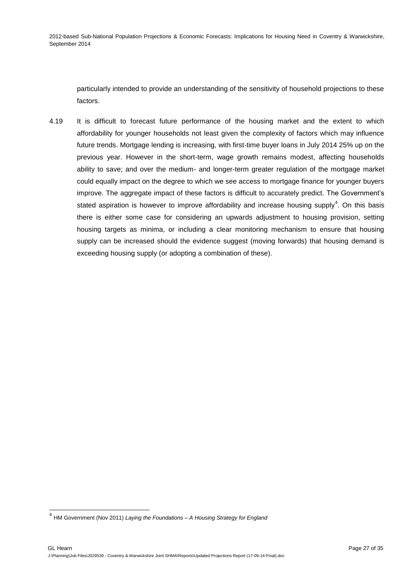particularly intended to provide an understanding of the sensitivity of household projections to these factors.

4.19 It is difficult to forecast future performance of the housing market and the extent to which affordability for younger households not least given the complexity of factors which may influence future trends. Mortgage lending is increasing, with first-time buyer loans in July 2014 25% up on the previous year. However in the short-term, wage growth remains modest, affecting households ability to save; and over the medium- and longer-term greater regulation of the mortgage market could equally impact on the degree to which we see access to mortgage finance for younger buyers improve. The aggregate impact of these factors is difficult to accurately predict. The Government's stated aspiration is however to improve affordability and increase housing supply<sup>4</sup>. On this basis there is either some case for considering an upwards adjustment to housing provision, setting housing targets as minima, or including a clear monitoring mechanism to ensure that housing supply can be increased should the evidence suggest (moving forwards) that housing demand is exceeding housing supply (or adopting a combination of these).

 4 HM Government (Nov 2011) *Laying the Foundations – A Housing Strategy for England*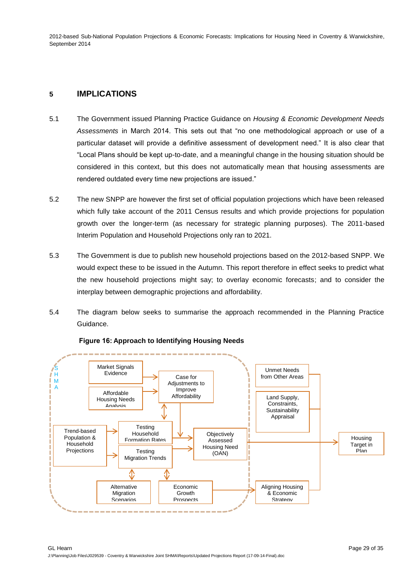## **5 IMPLICATIONS**

- 5.1 The Government issued Planning Practice Guidance on *Housing & Economic Development Needs Assessments* in March 2014. This sets out that "no one methodological approach or use of a particular dataset will provide a definitive assessment of development need." It is also clear that "Local Plans should be kept up-to-date, and a meaningful change in the housing situation should be considered in this context, but this does not automatically mean that housing assessments are rendered outdated every time new projections are issued."
- 5.2 The new SNPP are however the first set of official population projections which have been released which fully take account of the 2011 Census results and which provide projections for population growth over the longer-term (as necessary for strategic planning purposes). The 2011-based Interim Population and Household Projections only ran to 2021.
- 5.3 The Government is due to publish new household projections based on the 2012-based SNPP. We would expect these to be issued in the Autumn. This report therefore in effect seeks to predict what the new household projections might say; to overlay economic forecasts; and to consider the interplay between demographic projections and affordability.
- 5.4 The diagram below seeks to summarise the approach recommended in the Planning Practice Guidance.

<span id="page-28-0"></span>

### **Figure 16: Approach to Identifying Housing Needs**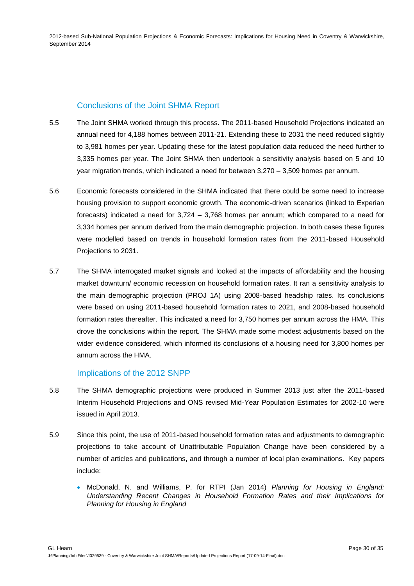# Conclusions of the Joint SHMA Report

- 5.5 The Joint SHMA worked through this process. The 2011-based Household Projections indicated an annual need for 4,188 homes between 2011-21. Extending these to 2031 the need reduced slightly to 3,981 homes per year. Updating these for the latest population data reduced the need further to 3,335 homes per year. The Joint SHMA then undertook a sensitivity analysis based on 5 and 10 year migration trends, which indicated a need for between 3,270 – 3,509 homes per annum.
- 5.6 Economic forecasts considered in the SHMA indicated that there could be some need to increase housing provision to support economic growth. The economic-driven scenarios (linked to Experian forecasts) indicated a need for 3,724 – 3,768 homes per annum; which compared to a need for 3,334 homes per annum derived from the main demographic projection. In both cases these figures were modelled based on trends in household formation rates from the 2011-based Household Projections to 2031.
- 5.7 The SHMA interrogated market signals and looked at the impacts of affordability and the housing market downturn/ economic recession on household formation rates. It ran a sensitivity analysis to the main demographic projection (PROJ 1A) using 2008-based headship rates. Its conclusions were based on using 2011-based household formation rates to 2021, and 2008-based household formation rates thereafter. This indicated a need for 3,750 homes per annum across the HMA. This drove the conclusions within the report. The SHMA made some modest adjustments based on the wider evidence considered, which informed its conclusions of a housing need for 3,800 homes per annum across the HMA.

## Implications of the 2012 SNPP

- 5.8 The SHMA demographic projections were produced in Summer 2013 just after the 2011-based Interim Household Projections and ONS revised Mid-Year Population Estimates for 2002-10 were issued in April 2013.
- 5.9 Since this point, the use of 2011-based household formation rates and adjustments to demographic projections to take account of Unattributable Population Change have been considered by a number of articles and publications, and through a number of local plan examinations. Key papers include:
	- McDonald, N. and Williams, P. for RTPI (Jan 2014) *Planning for Housing in England: Understanding Recent Changes in Household Formation Rates and their Implications for Planning for Housing in England*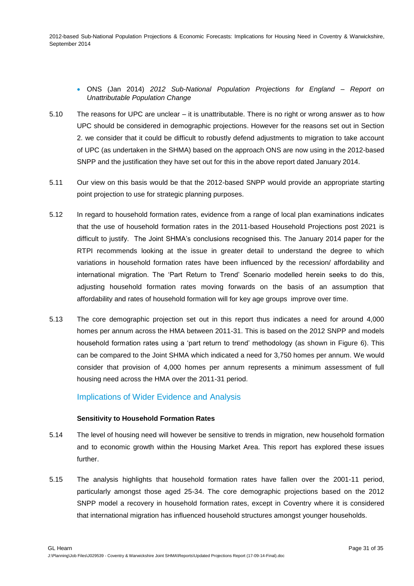### ONS (Jan 2014) *2012 Sub-National Population Projections for England – Report on Unattributable Population Change*

- 5.10 The reasons for UPC are unclear it is unattributable. There is no right or wrong answer as to how UPC should be considered in demographic projections. However for the reasons set out in Section 2. we consider that it could be difficult to robustly defend adjustments to migration to take account of UPC (as undertaken in the SHMA) based on the approach ONS are now using in the 2012-based SNPP and the justification they have set out for this in the above report dated January 2014.
- 5.11 Our view on this basis would be that the 2012-based SNPP would provide an appropriate starting point projection to use for strategic planning purposes.
- 5.12 In regard to household formation rates, evidence from a range of local plan examinations indicates that the use of household formation rates in the 2011-based Household Projections post 2021 is difficult to justify. The Joint SHMA's conclusions recognised this. The January 2014 paper for the RTPI recommends looking at the issue in greater detail to understand the degree to which variations in household formation rates have been influenced by the recession/ affordability and international migration. The 'Part Return to Trend' Scenario modelled herein seeks to do this, adjusting household formation rates moving forwards on the basis of an assumption that affordability and rates of household formation will for key age groups improve over time.
- 5.13 The core demographic projection set out in this report thus indicates a need for around 4,000 homes per annum across the HMA between 2011-31. This is based on the 2012 SNPP and models household formation rates using a 'part return to trend' methodology (as shown in Figure 6). This can be compared to the Joint SHMA which indicated a need for 3,750 homes per annum. We would consider that provision of 4,000 homes per annum represents a minimum assessment of full housing need across the HMA over the 2011-31 period.

## Implications of Wider Evidence and Analysis

#### **Sensitivity to Household Formation Rates**

- 5.14 The level of housing need will however be sensitive to trends in migration, new household formation and to economic growth within the Housing Market Area. This report has explored these issues further.
- 5.15 The analysis highlights that household formation rates have fallen over the 2001-11 period, particularly amongst those aged 25-34. The core demographic projections based on the 2012 SNPP model a recovery in household formation rates, except in Coventry where it is considered that international migration has influenced household structures amongst younger households.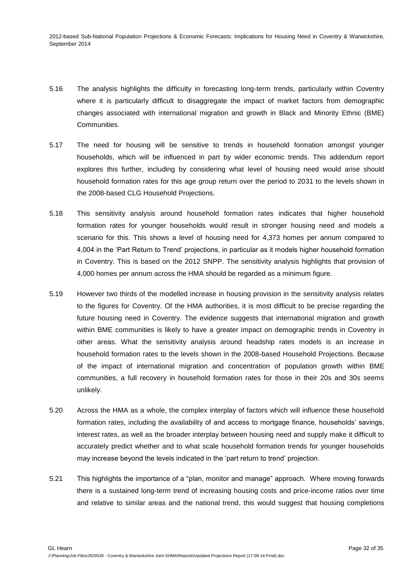- 5.16 The analysis highlights the difficulty in forecasting long-term trends, particularly within Coventry where it is particularly difficult to disaggregate the impact of market factors from demographic changes associated with international migration and growth in Black and Minority Ethnic (BME) Communities.
- 5.17 The need for housing will be sensitive to trends in household formation amongst younger households, which will be influenced in part by wider economic trends. This addendum report explores this further, including by considering what level of housing need would arise should household formation rates for this age group return over the period to 2031 to the levels shown in the 2008-based CLG Household Projections.
- 5.18 This sensitivity analysis around household formation rates indicates that higher household formation rates for younger households would result in stronger housing need and models a scenario for this. This shows a level of housing need for 4,373 homes per annum compared to 4,004 in the 'Part Return to Trend' projections, in particular as it models higher household formation in Coventry. This is based on the 2012 SNPP. The sensitivity analysis highlights that provision of 4,000 homes per annum across the HMA should be regarded as a minimum figure.
- 5.19 However two thirds of the modelled increase in housing provision in the sensitivity analysis relates to the figures for Coventry. Of the HMA authorities, it is most difficult to be precise regarding the future housing need in Coventry. The evidence suggests that international migration and growth within BME communities is likely to have a greater impact on demographic trends in Coventry in other areas. What the sensitivity analysis around headship rates models is an increase in household formation rates to the levels shown in the 2008-based Household Projections. Because of the impact of international migration and concentration of population growth within BME communities, a full recovery in household formation rates for those in their 20s and 30s seems unlikely.
- 5.20 Across the HMA as a whole, the complex interplay of factors which will influence these household formation rates, including the availability of and access to mortgage finance, households' savings, interest rates, as well as the broader interplay between housing need and supply make it difficult to accurately predict whether and to what scale household formation trends for younger households may increase beyond the levels indicated in the 'part return to trend' projection.
- 5.21 This highlights the importance of a "plan, monitor and manage" approach. Where moving forwards there is a sustained long-term trend of increasing housing costs and price-income ratios over time and relative to similar areas and the national trend, this would suggest that housing completions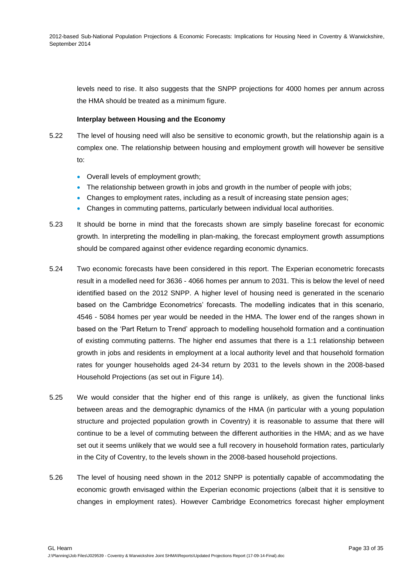levels need to rise. It also suggests that the SNPP projections for 4000 homes per annum across the HMA should be treated as a minimum figure.

### **Interplay between Housing and the Economy**

- 5.22 The level of housing need will also be sensitive to economic growth, but the relationship again is a complex one. The relationship between housing and employment growth will however be sensitive to:
	- Overall levels of employment growth;
	- The relationship between growth in jobs and growth in the number of people with jobs;
	- Changes to employment rates, including as a result of increasing state pension ages;
	- Changes in commuting patterns, particularly between individual local authorities.
- 5.23 It should be borne in mind that the forecasts shown are simply baseline forecast for economic growth. In interpreting the modelling in plan-making, the forecast employment growth assumptions should be compared against other evidence regarding economic dynamics.
- 5.24 Two economic forecasts have been considered in this report. The Experian econometric forecasts result in a modelled need for 3636 - 4066 homes per annum to 2031. This is below the level of need identified based on the 2012 SNPP. A higher level of housing need is generated in the scenario based on the Cambridge Econometrics' forecasts. The modelling indicates that in this scenario, 4546 - 5084 homes per year would be needed in the HMA. The lower end of the ranges shown in based on the 'Part Return to Trend' approach to modelling household formation and a continuation of existing commuting patterns. The higher end assumes that there is a 1:1 relationship between growth in jobs and residents in employment at a local authority level and that household formation rates for younger households aged 24-34 return by 2031 to the levels shown in the 2008-based Household Projections (as set out in Figure 14).
- 5.25 We would consider that the higher end of this range is unlikely, as given the functional links between areas and the demographic dynamics of the HMA (in particular with a young population structure and projected population growth in Coventry) it is reasonable to assume that there will continue to be a level of commuting between the different authorities in the HMA; and as we have set out it seems unlikely that we would see a full recovery in household formation rates, particularly in the City of Coventry, to the levels shown in the 2008-based household projections.
- 5.26 The level of housing need shown in the 2012 SNPP is potentially capable of accommodating the economic growth envisaged within the Experian economic projections (albeit that it is sensitive to changes in employment rates). However Cambridge Econometrics forecast higher employment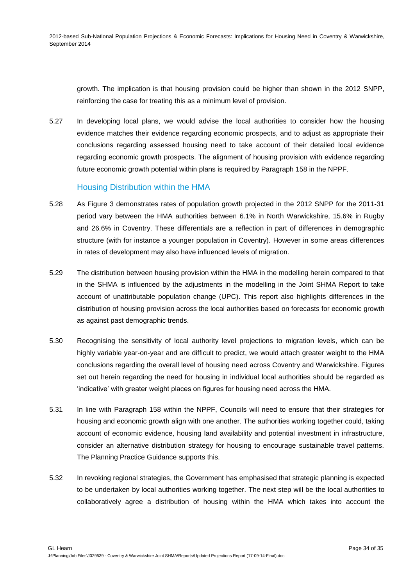growth. The implication is that housing provision could be higher than shown in the 2012 SNPP, reinforcing the case for treating this as a minimum level of provision.

5.27 In developing local plans, we would advise the local authorities to consider how the housing evidence matches their evidence regarding economic prospects, and to adjust as appropriate their conclusions regarding assessed housing need to take account of their detailed local evidence regarding economic growth prospects. The alignment of housing provision with evidence regarding future economic growth potential within plans is required by Paragraph 158 in the NPPF.

### Housing Distribution within the HMA

- 5.28 As Figure 3 demonstrates rates of population growth projected in the 2012 SNPP for the 2011-31 period vary between the HMA authorities between 6.1% in North Warwickshire, 15.6% in Rugby and 26.6% in Coventry. These differentials are a reflection in part of differences in demographic structure (with for instance a younger population in Coventry). However in some areas differences in rates of development may also have influenced levels of migration.
- 5.29 The distribution between housing provision within the HMA in the modelling herein compared to that in the SHMA is influenced by the adjustments in the modelling in the Joint SHMA Report to take account of unattributable population change (UPC). This report also highlights differences in the distribution of housing provision across the local authorities based on forecasts for economic growth as against past demographic trends.
- 5.30 Recognising the sensitivity of local authority level projections to migration levels, which can be highly variable year-on-year and are difficult to predict, we would attach greater weight to the HMA conclusions regarding the overall level of housing need across Coventry and Warwickshire. Figures set out herein regarding the need for housing in individual local authorities should be regarded as 'indicative' with greater weight places on figures for housing need across the HMA.
- 5.31 In line with Paragraph 158 within the NPPF, Councils will need to ensure that their strategies for housing and economic growth align with one another. The authorities working together could, taking account of economic evidence, housing land availability and potential investment in infrastructure, consider an alternative distribution strategy for housing to encourage sustainable travel patterns. The Planning Practice Guidance supports this.
- 5.32 In revoking regional strategies, the Government has emphasised that strategic planning is expected to be undertaken by local authorities working together. The next step will be the local authorities to collaboratively agree a distribution of housing within the HMA which takes into account the